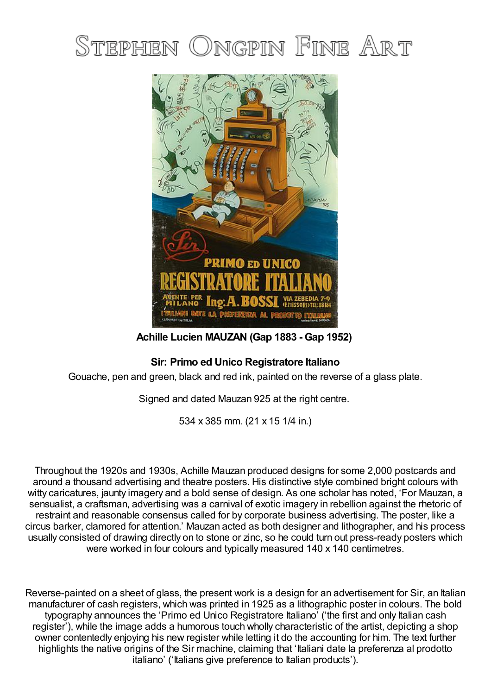



**Achille Lucien MAUZAN (Gap 1883 - Gap 1952)**

## **Sir: Primo ed Unico Registratore Italiano**

Gouache, pen and green, black and red ink, painted on the reverse of a glass plate.

Signed and dated Mauzan 925 at the right centre.

534 x 385 mm. (21 x 15 1/4 in.)

Throughout the 1920s and 1930s, Achille Mauzan produced designs for some 2,000 postcards and around a thousand advertising and theatre posters. His distinctive style combined bright colours with witty caricatures, jaunty imagery and a bold sense of design. As one scholar has noted, 'For Mauzan, a sensualist, a craftsman, advertising was a carnival of exotic imagery in rebellion against the rhetoric of restraint and reasonable consensus called for by corporate business advertising. The poster, like a circus barker, clamored for attention.' Mauzan acted as both designer and lithographer, and his process usually consisted of drawing directly on to stone or zinc, so he could turn out press-ready posters which were worked in four colours and typically measured 140 x 140 centimetres.

Reverse-painted on a sheet of glass, the present work is a design for an advertisement for Sir, an Italian manufacturer of cash registers, which was printed in 1925 as a lithographic poster in colours. The bold typography announces the 'Primo ed Unico Registratore Italiano' ('the first and only Italian cash register'), while the image adds a humorous touch wholly characteristic of the artist, depicting a shop owner contentedly enjoying his new register while letting it do the accounting for him. The text further highlights the native origins of the Sir machine, claiming that 'Italiani date la preferenza al prodotto italiano' ('Italians give preference to Italian products').